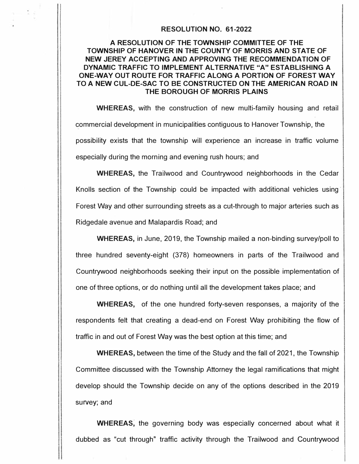## **RESOLUTION NO. 61-2022**

## **A RESOLUTION OF THE TOWNSHIP COMMITTEE OF THE TOWNSHIP OF HANOVER IN THE COUNTY OF MORRIS AND STATE OF NEW JEREY ACCEPTING AND APPROVING THE RECOMMENDATION OF DYNAMIC TRAFFIC TO IMPLEMENT ALTERNATIVE "A" ESTABLISHING A ONE-WAY OUT ROUTE FOR TRAFFIC ALONG A PORTION OF FOREST WAY TO A NEW CUL-DE-SAC TO BE CONSTRUCTED ON THE AMERICAN ROAD IN THE BOROUGH OF MORRIS PLAINS**

**WHEREAS,** with the construction of new multi-family housing and retail commercial development in municipalities contiguous to Hanover Township, the possibility exists that the township will experience an increase in traffic volume especially during the morning and evening rush hours; and

**WHEREAS,** the Trailwood and Countrywood neighborhoods in the Cedar Knolls section of the Township could be impacted with additional vehicles using· Forest Way and other surrounding streets as a cut-through to major arteries such as Ridgedale avenue and Malapardis Road; and

**WHEREAS,** in June, 2019, the Township mailed a non-binding survey/poll to three hundred seventy-eight (378) homeowners in parts of the Trailwood and Countrywood neighborhoods seeking their input on the possible implementation of one of three options, or do nothing until all the development takes place; and

**WHEREAS,** of the one hundred forty-seven responses, a majority of the respondents felt that creating a dead-end on Forest Way prohibiting the flow of traffic in and out of Forest Way was the best option at this time; and

**WHEREAS,** between the time of the Study and the fall of 2021, the Township Committee discussed with the Township Attorney the legal ramifications that might develop should the Township decide on any of the options described in the 2019 survey; and

**WHEREAS,** the governing body was especially concerned about what it dubbed as "cut through" traffic activity through the Trailwood and Countrywood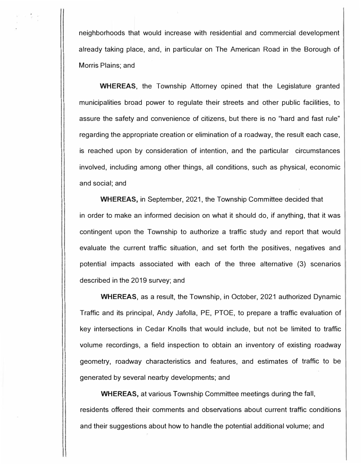neighborhoods that would increase with residential and commercial development already taking place, and, in particular on The American Road in the Borough of Morris Plains; and

**WHEREAS,** the Township Attorney opined that the Legislature granted municipalities broad power to regulate their streets and other public facilities, to assure the safety and convenience of citizens, but there is no "hard and fast rule" regarding the appropriate creation or elimination of a roadway, the result each case, is reached upon by consideration of intention, and the particular circumstances involved, including among other things, all conditions, such as physical, economic and social; and

**WHEREAS,** in September, 2021, the Township Committee decided that in order to make an informed decision on what it should do, if anything, that it was contingent upon the Township to authorize a traffic study and report that would evaluate the current traffic situation, and set forth the positives, negatives and potential impacts associated with each of the three alternative (3) scenarios described in the 2019 survey; and

**WHEREAS,** as a result, the Township, in October, 2021 authorized Dynamic Traffic and its principal, Andy Jafolla, PE, PTOE, to prepare a traffic evaluation of key intersections in Cedar Knolls that would include, but not be limited to traffic volume recordings, a field inspection to obtain an inventory of existing roadway geometry, roadway characteristics and features, and estimates of traffic to be generated by several nearby developments; and

**WHEREAS,** at various Township Committee meetings during the fall, residents offered their comments and observations about current traffic conditions and their suggestions about how to handle the potential additional volume; and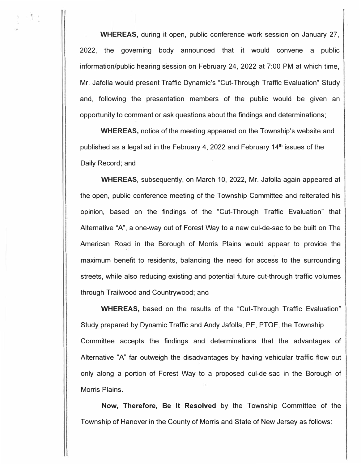**WHEREAS,** during it open, public conference work session on January 27, 2022, the governing body announced that it would convene a public information/public hearing session on February 24, 2022 at 7:00 PM at which time, Mr. Jafolla would present Traffic Dynamic's "Cut-Through Traffic Evaluation" Study and, following the presentation members of the public would be given an opportunity to comment or ask questions about the findings and determinations;

**WHEREAS,** notice of the meeting appeared on the Township's website and published as a legal ad in the February 4, 2022 and February 14**th** issues of the Daily Record; and

**WHEREAS,** subsequently, on March 10, 2022, Mr. Jafolla again appeared at the open, public conference meeting of the Township Committee and reiterated his opinion, based on the findings of the "Cut-Through Traffic Evaluation" that Alternative "A", a one-way out of Forest Way to a new cul-de-sac to be built on The American Road in the Borough of Morris Plains would appear to provide the maximum benefit to residents, balancing the need for access to the surrounding streets, while also reducing existing and potential future cut-through traffic volumes through Trailwood and Countrywood; and

**WHEREAS,** based on the results of the "Cut-Through Traffic Evaluation" Study prepared by Dynamic Traffic and Andy Jafolla, PE, PTOE, the Township Committee accepts the findings and determinations that the advantages of Alternative "A" far outweigh the disadvantages by having vehicular traffic flow out only along a portion of Forest Way to a proposed cul-de-sac in the Borough of Morris Plains.

**Now, Therefore, Be It Resolved** by the Township Committee of the Township of Hanover in the County of Morris and State of New Jersey as follows: